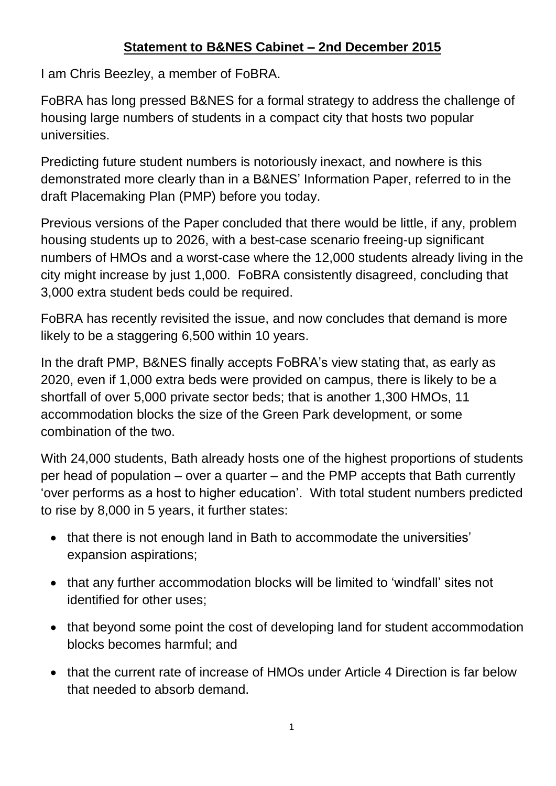## **Statement to B&NES Cabinet – 2nd December 2015**

I am Chris Beezley, a member of FoBRA.

FoBRA has long pressed B&NES for a formal strategy to address the challenge of housing large numbers of students in a compact city that hosts two popular universities.

Predicting future student numbers is notoriously inexact, and nowhere is this demonstrated more clearly than in a B&NES' Information Paper, referred to in the draft Placemaking Plan (PMP) before you today.

Previous versions of the Paper concluded that there would be little, if any, problem housing students up to 2026, with a best-case scenario freeing-up significant numbers of HMOs and a worst-case where the 12,000 students already living in the city might increase by just 1,000. FoBRA consistently disagreed, concluding that 3,000 extra student beds could be required.

FoBRA has recently revisited the issue, and now concludes that demand is more likely to be a staggering 6,500 within 10 years.

In the draft PMP, B&NES finally accepts FoBRA's view stating that, as early as 2020, even if 1,000 extra beds were provided on campus, there is likely to be a shortfall of over 5,000 private sector beds; that is another 1,300 HMOs, 11 accommodation blocks the size of the Green Park development, or some combination of the two.

With 24,000 students, Bath already hosts one of the highest proportions of students per head of population – over a quarter – and the PMP accepts that Bath currently 'over performs as a host to higher education'. With total student numbers predicted to rise by 8,000 in 5 years, it further states:

- that there is not enough land in Bath to accommodate the universities' expansion aspirations;
- that any further accommodation blocks will be limited to 'windfall' sites not identified for other uses;
- that beyond some point the cost of developing land for student accommodation blocks becomes harmful; and
- that the current rate of increase of HMOs under Article 4 Direction is far below that needed to absorb demand.